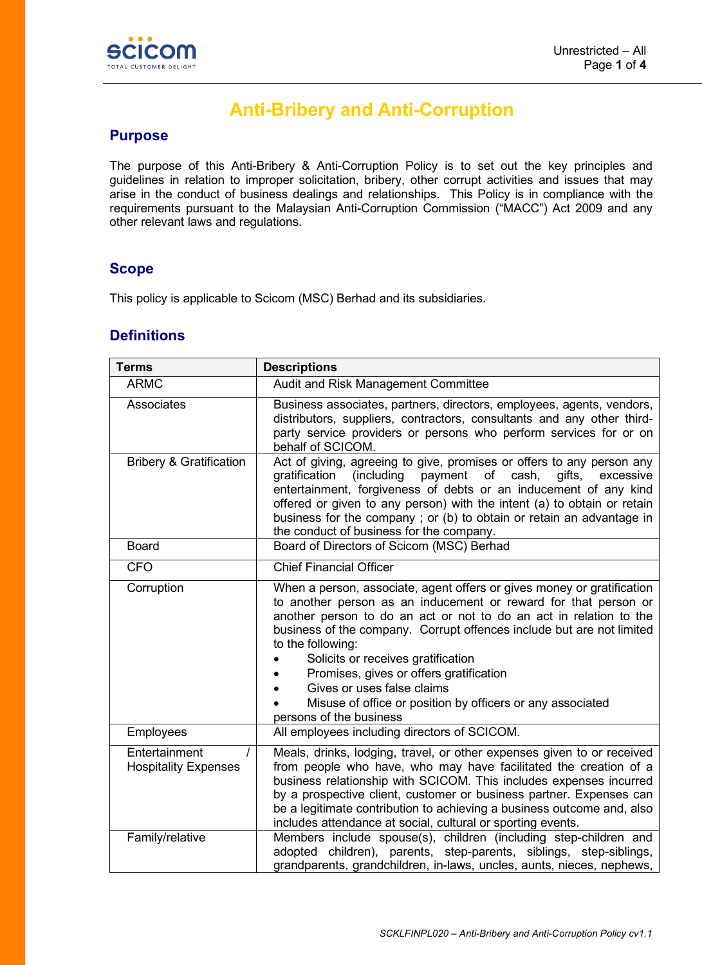

# **Anti-Bribery and Anti-Corruption**

## **Purpose**

The purpose of this Anti-Bribery & Anti-Corruption Policy is to set out the key principles and guidelines in relation to improper solicitation, bribery, other corrupt activities and issues that may arise in the conduct of business dealings and relationships. This Policy is in compliance with the requirements pursuant to the Malaysian Anti-Corruption Commission ("MACC") Act 2009 and any other relevant laws and regulations.

## **Scope**

This policy is applicable to Scicom (MSC) Berhad and its subsidiaries.

## **Definitions**

| <b>Terms</b>                                 | <b>Descriptions</b>                                                                                                                                                                                                                                                                                                                                                                                                                                                                                                   |
|----------------------------------------------|-----------------------------------------------------------------------------------------------------------------------------------------------------------------------------------------------------------------------------------------------------------------------------------------------------------------------------------------------------------------------------------------------------------------------------------------------------------------------------------------------------------------------|
| <b>ARMC</b>                                  | Audit and Risk Management Committee                                                                                                                                                                                                                                                                                                                                                                                                                                                                                   |
| Associates                                   | Business associates, partners, directors, employees, agents, vendors,<br>distributors, suppliers, contractors, consultants and any other third-<br>party service providers or persons who perform services for or on<br>behalf of SCICOM.                                                                                                                                                                                                                                                                             |
| <b>Bribery &amp; Gratification</b>           | Act of giving, agreeing to give, promises or offers to any person any<br>(including payment of cash,<br>gifts,<br>gratification<br>excessive<br>entertainment, forgiveness of debts or an inducement of any kind<br>offered or given to any person) with the intent (a) to obtain or retain<br>business for the company; or (b) to obtain or retain an advantage in<br>the conduct of business for the company.                                                                                                       |
| <b>Board</b>                                 | Board of Directors of Scicom (MSC) Berhad                                                                                                                                                                                                                                                                                                                                                                                                                                                                             |
| <b>CFO</b>                                   | <b>Chief Financial Officer</b>                                                                                                                                                                                                                                                                                                                                                                                                                                                                                        |
| Corruption                                   | When a person, associate, agent offers or gives money or gratification<br>to another person as an inducement or reward for that person or<br>another person to do an act or not to do an act in relation to the<br>business of the company. Corrupt offences include but are not limited<br>to the following:<br>Solicits or receives gratification<br>Promises, gives or offers gratification<br>Gives or uses false claims<br>Misuse of office or position by officers or any associated<br>persons of the business |
| Employees                                    | All employees including directors of SCICOM.                                                                                                                                                                                                                                                                                                                                                                                                                                                                          |
| Entertainment<br><b>Hospitality Expenses</b> | Meals, drinks, lodging, travel, or other expenses given to or received<br>from people who have, who may have facilitated the creation of a<br>business relationship with SCICOM. This includes expenses incurred<br>by a prospective client, customer or business partner. Expenses can<br>be a legitimate contribution to achieving a business outcome and, also<br>includes attendance at social, cultural or sporting events.                                                                                      |
| Family/relative                              | Members include spouse(s), children (including step-children and<br>adopted children), parents, step-parents, siblings, step-siblings,<br>grandparents, grandchildren, in-laws, uncles, aunts, nieces, nephews,                                                                                                                                                                                                                                                                                                       |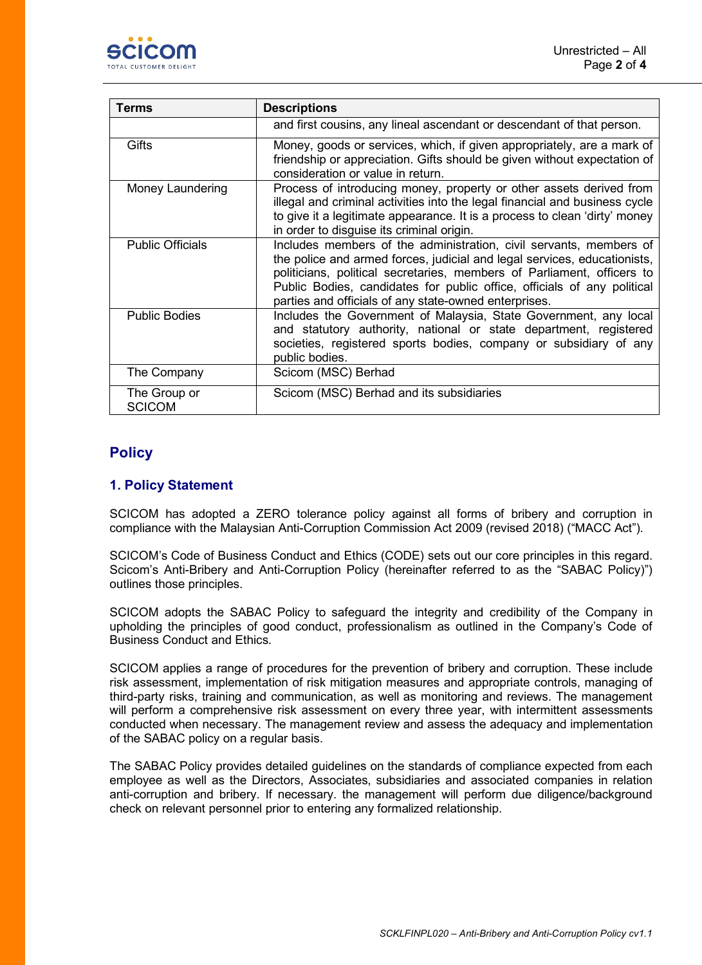

| Terms                         | <b>Descriptions</b>                                                                                                                                                                                                                                                                                                                                          |
|-------------------------------|--------------------------------------------------------------------------------------------------------------------------------------------------------------------------------------------------------------------------------------------------------------------------------------------------------------------------------------------------------------|
|                               | and first cousins, any lineal ascendant or descendant of that person.                                                                                                                                                                                                                                                                                        |
| Gifts                         | Money, goods or services, which, if given appropriately, are a mark of<br>friendship or appreciation. Gifts should be given without expectation of<br>consideration or value in return.                                                                                                                                                                      |
| Money Laundering              | Process of introducing money, property or other assets derived from<br>illegal and criminal activities into the legal financial and business cycle<br>to give it a legitimate appearance. It is a process to clean 'dirty' money<br>in order to disguise its criminal origin.                                                                                |
| <b>Public Officials</b>       | Includes members of the administration, civil servants, members of<br>the police and armed forces, judicial and legal services, educationists,<br>politicians, political secretaries, members of Parliament, officers to<br>Public Bodies, candidates for public office, officials of any political<br>parties and officials of any state-owned enterprises. |
| <b>Public Bodies</b>          | Includes the Government of Malaysia, State Government, any local<br>and statutory authority, national or state department, registered<br>societies, registered sports bodies, company or subsidiary of any<br>public bodies.                                                                                                                                 |
| The Company                   | Scicom (MSC) Berhad                                                                                                                                                                                                                                                                                                                                          |
| The Group or<br><b>SCICOM</b> | Scicom (MSC) Berhad and its subsidiaries                                                                                                                                                                                                                                                                                                                     |

# **Policy**

### **1. Policy Statement**

SCICOM has adopted a ZERO tolerance policy against all forms of bribery and corruption in compliance with the Malaysian Anti-Corruption Commission Act 2009 (revised 2018) ("MACC Act").

SCICOM's Code of Business Conduct and Ethics (CODE) sets out our core principles in this regard. Scicom's Anti-Bribery and Anti-Corruption Policy (hereinafter referred to as the "SABAC Policy)") outlines those principles.

SCICOM adopts the SABAC Policy to safeguard the integrity and credibility of the Company in upholding the principles of good conduct, professionalism as outlined in the Company's Code of Business Conduct and Ethics.

SCICOM applies a range of procedures for the prevention of bribery and corruption. These include risk assessment, implementation of risk mitigation measures and appropriate controls, managing of third-party risks, training and communication, as well as monitoring and reviews. The management will perform a comprehensive risk assessment on every three year, with intermittent assessments conducted when necessary. The management review and assess the adequacy and implementation of the SABAC policy on a regular basis.

The SABAC Policy provides detailed guidelines on the standards of compliance expected from each employee as well as the Directors, Associates, subsidiaries and associated companies in relation anti-corruption and bribery. If necessary. the management will perform due diligence/background check on relevant personnel prior to entering any formalized relationship.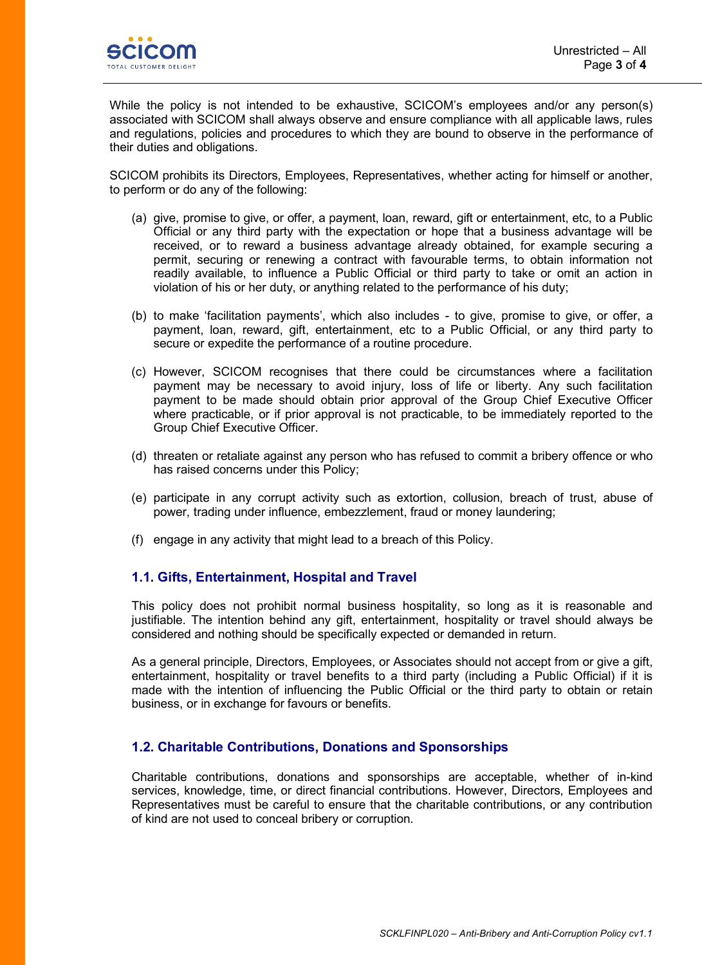

While the policy is not intended to be exhaustive, SCICOM's employees and/or any person(s) associated with SCICOM shall always observe and ensure compliance with all applicable laws, rules and regulations, policies and procedures to which they are bound to observe in the performance of their duties and obligations.

SCICOM prohibits its Directors, Employees, Representatives, whether acting for himself or another, to perform or do any of the following:

- (a) give, promise to give, or offer, a payment, loan, reward, gift or entertainment, etc, to a Public Official or any third party with the expectation or hope that a business advantage will be received, or to reward a business advantage already obtained, for example securing a permit, securing or renewing a contract with favourable terms, to obtain information not readily available, to influence a Public Official or third party to take or omit an action in violation of his or her duty, or anything related to the performance of his duty;
- (b) to make 'facilitation payments', which also includes to give, promise to give, or offer, a payment, loan, reward, gift, entertainment, etc to a Public Official, or any third party to secure or expedite the performance of a routine procedure.
- (c) However, SCICOM recognises that there could be circumstances where a facilitation payment may be necessary to avoid injury, loss of life or liberty. Any such facilitation payment to be made should obtain prior approval of the Group Chief Executive Officer where practicable, or if prior approval is not practicable, to be immediately reported to the Group Chief Executive Officer.
- (d) threaten or retaliate against any person who has refused to commit a bribery offence or who has raised concerns under this Policy;
- (e) participate in any corrupt activity such as extortion, collusion, breach of trust, abuse of power, trading under influence, embezzlement, fraud or money laundering;
- (f) engage in any activity that might lead to a breach of this Policy.

#### **1.1. Gifts, Entertainment, Hospital and Travel**

This policy does not prohibit normal business hospitality, so long as it is reasonable and justifiable. The intention behind any gift, entertainment, hospitality or travel should always be considered and nothing should be specifically expected or demanded in return.

As a general principle, Directors, Employees, or Associates should not accept from or give a gift, entertainment, hospitality or travel benefits to a third party (including a Public Official) if it is made with the intention of influencing the Public Official or the third party to obtain or retain business, or in exchange for favours or benefits.

## **1.2. Charitable Contributions, Donations and Sponsorships**

Charitable contributions, donations and sponsorships are acceptable, whether of in-kind services, knowledge, time, or direct financial contributions. However, Directors, Employees and Representatives must be careful to ensure that the charitable contributions, or any contribution of kind are not used to conceal bribery or corruption.